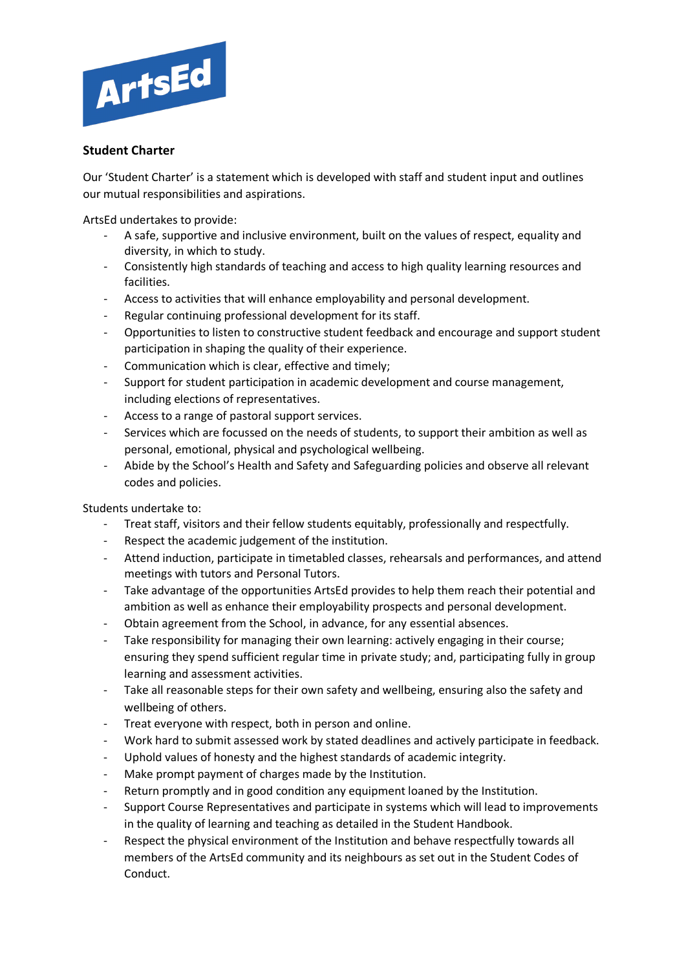

## **Student Charter**

Our 'Student Charter' is a statement which is developed with staff and student input and outlines our mutual responsibilities and aspirations.

ArtsEd undertakes to provide:

- A safe, supportive and inclusive environment, built on the values of respect, equality and diversity, in which to study.
- Consistently high standards of teaching and access to high quality learning resources and facilities.
- Access to activities that will enhance employability and personal development.
- Regular continuing professional development for its staff.
- Opportunities to listen to constructive student feedback and encourage and support student participation in shaping the quality of their experience.
- Communication which is clear, effective and timely:
- Support for student participation in academic development and course management, including elections of representatives.
- Access to a range of pastoral support services.
- Services which are focussed on the needs of students, to support their ambition as well as personal, emotional, physical and psychological wellbeing.
- Abide by the School's Health and Safety and Safeguarding policies and observe all relevant codes and policies.

Students undertake to:

- Treat staff, visitors and their fellow students equitably, professionally and respectfully.
- Respect the academic judgement of the institution.
- Attend induction, participate in timetabled classes, rehearsals and performances, and attend meetings with tutors and Personal Tutors.
- Take advantage of the opportunities ArtsEd provides to help them reach their potential and ambition as well as enhance their employability prospects and personal development.
- Obtain agreement from the School, in advance, for any essential absences.
- Take responsibility for managing their own learning: actively engaging in their course; ensuring they spend sufficient regular time in private study; and, participating fully in group learning and assessment activities.
- Take all reasonable steps for their own safety and wellbeing, ensuring also the safety and wellbeing of others.
- Treat everyone with respect, both in person and online.
- Work hard to submit assessed work by stated deadlines and actively participate in feedback.
- Uphold values of honesty and the highest standards of academic integrity.
- Make prompt payment of charges made by the Institution.
- Return promptly and in good condition any equipment loaned by the Institution.
- Support Course Representatives and participate in systems which will lead to improvements in the quality of learning and teaching as detailed in the Student Handbook.
- Respect the physical environment of the Institution and behave respectfully towards all members of the ArtsEd community and its neighbours as set out in the Student Codes of Conduct.